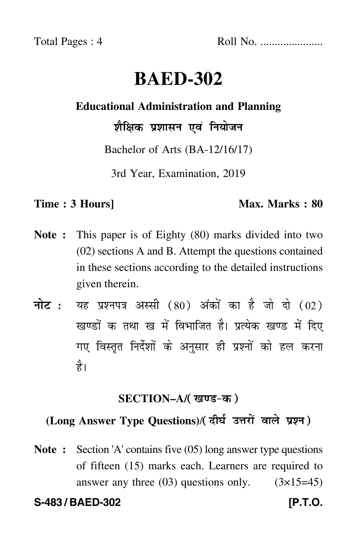Total Pages : 4 Roll No. ......................

# **BAED-302**

#### **Educational Administration and Planning**

शैक्षिक प्रशासन एवं नियोजन

Bachelor of Arts (BA-12/16/17)

3rd Year, Examination, 2019

#### **Time : 3 Hours]** Max. Marks : 80

- **Note :** This paper is of Eighty (80) marks divided into two (02) sections A and B. Attempt the questions contained in these sections according to the detailed instructions given therein.
- नोट : यह प्रश्नपत्र अस्सी (80) अंकों का है जो दो (02) खण्डों क तथा ख में विभाजित है। प्रत्येक खण्ड में दिए गए विस्तृत निर्देशों के अनुसार ही प्रश्नों को हल करन<mark>ा</mark> है।

### <u>SECTION–A/( खण्ड-क</u> )

## (Long Answer Type Questions)/( दीर्घ उत्तरों वाले प्रश्न )

**Note :** Section 'A' contains five (05) long answer type questions of fifteen (15) marks each. Learners are required to answer any three  $(03)$  questions only.  $(3\times15=45)$ 

**S-483 / BAED-302 [P.T.O.**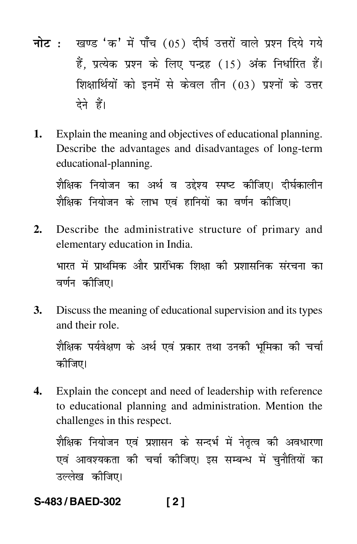- नोट: खण्ड 'क' में पाँच (05) दीर्घ उत्तरों वाले प्रश्न दिये गये हैं. प्रत्येक प्रश्न के लिए पन्द्रह (15) अंक निर्धारित हैं। शिक्षार्थियों को इनमें से केवल तीन (03) प्रश्नों के उत्तर देने हैं।
- Explain the meaning and objectives of educational planning. 1. Describe the advantages and disadvantages of long-term educational-planning.

शैक्षिक नियोजन का अर्थ व उद्देश्य स्पष्ट कीजिए। दीर्घकालीन शैक्षिक नियोजन के लाभ एवं हानियों का वर्णन कीजिए।

Describe the administrative structure of primary and  $2.$ elementary education in India.

भारत में प्राथमिक और प्रारंभिक शिक्षा की प्रशासनिक संरचना का वर्णन कीजिए।

3. Discuss the meaning of educational supervision and its types and their role

शैक्षिक पर्यवेक्षण के अर्थ एवं प्रकार तथा उनकी भमिका की चर्चा कीजिए।

 $\mathbf{4}$ . Explain the concept and need of leadership with reference to educational planning and administration. Mention the challenges in this respect.

शैक्षिक नियोजन एवं प्रशासन के सन्दर्भ में नेतृत्व की अवधारणा एवं आवश्यकता की चर्चा कीजिए। इस सम्बन्ध में चनौतियों का उल्लेख कीजिए।

#### S-483/BAED-302  $[2]$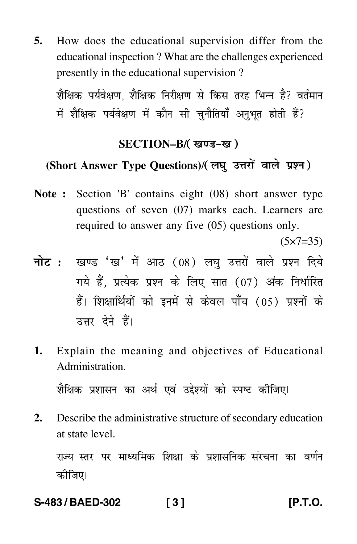**5.** How does the educational supervision differ from the educational inspection ? What are the challenges experienced presently in the educational supervision ?

शैक्षिक पर्यवेक्षण, शैक्षिक निरीक्षण से किस तरह भिन्न है? वर्तमान में शैक्षिक पर्यवेक्षण में कौन सी चुनौतियाँ अनुभूत होती हैं? ֦֚֚֚֬֝֝֬֝֬֝

#### SECTION–B/( खण्ड-ख )

#### (Short Answer Type Questions)/(लघु उत्तरों वाले प्रश्न)

**Note :** Section 'B' contains eight (08) short answer type questions of seven (07) marks each. Learners are required to answer any five (05) questions only.

 $(5 \times 7 = 35)$ 

- <mark>नोट</mark> : खण्ड 'ख' में आठ (08) लघु उत्तरों वाले प्रश्न दिये गये हैं, प्रत्येक प्रश्न के लिए सात (07) अंक निर्धारित हैं। शिक्षार्थियों को इनमें से केवल पाँच (05) प्रश्नों के उत्तर देने हैं।
- **1.** Explain the meaning and objectives of Educational Administration.

शैक्षिक प्रशासन का अर्थ एवं उद्देश्यों को स्पष्ट कीजिए। -֧֖֚֚֚֡֝֬<br>֚

**2.** Describe the administrative structure of secondary education at state level.

राज्य–स्तर पर माध्यमिक शिक्षा के प्रशासनिक–संरचना का वर्णन --कोजिए।

**S-483 / BAED-302 [ 3 ] [P.T.O.**